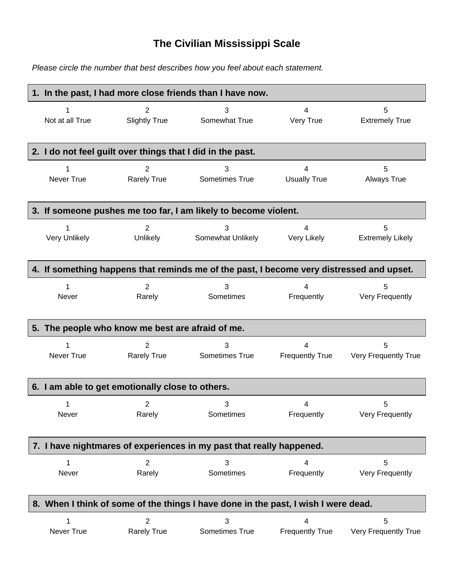## **The Civilian Mississippi Scale**

*Please circle the number that best describes how you feel about each statement.*

|                                                                      | 1. In the past, I had more close friends than I have now.                          |                                                            |                                                                                          |                                       |                           |  |
|----------------------------------------------------------------------|------------------------------------------------------------------------------------|------------------------------------------------------------|------------------------------------------------------------------------------------------|---------------------------------------|---------------------------|--|
|                                                                      |                                                                                    |                                                            |                                                                                          |                                       |                           |  |
| 1                                                                    |                                                                                    | 2                                                          | 3                                                                                        | 4                                     | 5                         |  |
| Not at all True                                                      |                                                                                    | <b>Slightly True</b>                                       | Somewhat True                                                                            | Very True                             | <b>Extremely True</b>     |  |
|                                                                      |                                                                                    |                                                            |                                                                                          |                                       |                           |  |
|                                                                      |                                                                                    | 2. I do not feel guilt over things that I did in the past. |                                                                                          |                                       |                           |  |
|                                                                      |                                                                                    | 2                                                          | 3                                                                                        | 4                                     | 5                         |  |
| Never True                                                           |                                                                                    | <b>Rarely True</b>                                         | Sometimes True                                                                           | <b>Usually True</b>                   | <b>Always True</b>        |  |
|                                                                      |                                                                                    |                                                            |                                                                                          |                                       |                           |  |
|                                                                      |                                                                                    |                                                            | 3. If someone pushes me too far, I am likely to become violent.                          |                                       |                           |  |
|                                                                      |                                                                                    |                                                            |                                                                                          |                                       |                           |  |
| 1                                                                    |                                                                                    | $\overline{2}$                                             | 3                                                                                        | 4                                     | 5                         |  |
| Very Unlikely                                                        |                                                                                    | Unlikely                                                   | Somewhat Unlikely                                                                        | Very Likely                           | <b>Extremely Likely</b>   |  |
|                                                                      |                                                                                    |                                                            |                                                                                          |                                       |                           |  |
|                                                                      |                                                                                    |                                                            | 4. If something happens that reminds me of the past, I become very distressed and upset. |                                       |                           |  |
| 1                                                                    |                                                                                    | $\overline{2}$                                             | 3                                                                                        | 4                                     | 5                         |  |
| Never                                                                |                                                                                    | Rarely                                                     | Sometimes                                                                                | Frequently                            | Very Frequently           |  |
|                                                                      |                                                                                    |                                                            |                                                                                          |                                       |                           |  |
|                                                                      |                                                                                    | 5. The people who know me best are afraid of me.           |                                                                                          |                                       |                           |  |
|                                                                      |                                                                                    |                                                            |                                                                                          |                                       |                           |  |
| 1<br>Never True                                                      |                                                                                    | 2<br><b>Rarely True</b>                                    | 3<br>Sometimes True                                                                      | 4<br><b>Frequently True</b>           | 5<br>Very Frequently True |  |
|                                                                      |                                                                                    |                                                            |                                                                                          |                                       |                           |  |
|                                                                      |                                                                                    |                                                            |                                                                                          |                                       |                           |  |
|                                                                      |                                                                                    | 6. I am able to get emotionally close to others.           |                                                                                          |                                       |                           |  |
| 1                                                                    |                                                                                    | 2                                                          | 3                                                                                        | 4                                     | 5                         |  |
| Never                                                                |                                                                                    | Rarely                                                     | Sometimes                                                                                | Frequently                            | <b>Very Frequently</b>    |  |
|                                                                      |                                                                                    |                                                            |                                                                                          |                                       |                           |  |
| 7. I have nightmares of experiences in my past that really happened. |                                                                                    |                                                            |                                                                                          |                                       |                           |  |
|                                                                      |                                                                                    |                                                            |                                                                                          |                                       |                           |  |
| 1<br>Never                                                           |                                                                                    | $\overline{2}$<br>Rarely                                   | 3<br>Sometimes                                                                           | $\overline{\mathbf{4}}$<br>Frequently | 5<br>Very Frequently      |  |
|                                                                      |                                                                                    |                                                            |                                                                                          |                                       |                           |  |
|                                                                      |                                                                                    |                                                            |                                                                                          |                                       |                           |  |
|                                                                      | 8. When I think of some of the things I have done in the past, I wish I were dead. |                                                            |                                                                                          |                                       |                           |  |
|                                                                      |                                                                                    | $\overline{2}$                                             | 3                                                                                        | 4                                     | 5                         |  |
| Never True                                                           |                                                                                    | <b>Rarely True</b>                                         | Sometimes True                                                                           | <b>Frequently True</b>                | Very Frequently True      |  |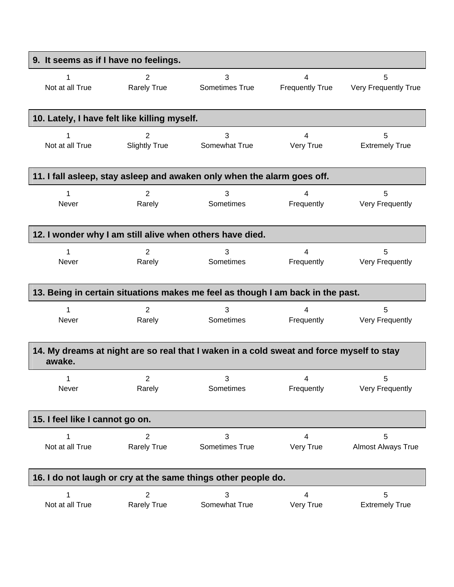| 9. It seems as if I have no feelings.                                                              |                                                                         |                |                        |                           |  |  |
|----------------------------------------------------------------------------------------------------|-------------------------------------------------------------------------|----------------|------------------------|---------------------------|--|--|
| 1                                                                                                  | $\overline{2}$                                                          | 3              | 4                      | 5                         |  |  |
| Not at all True                                                                                    | <b>Rarely True</b>                                                      | Sometimes True | <b>Frequently True</b> | Very Frequently True      |  |  |
|                                                                                                    | 10. Lately, I have felt like killing myself.                            |                |                        |                           |  |  |
| 1                                                                                                  | 2                                                                       | 3              | 4                      | 5                         |  |  |
| Not at all True                                                                                    | <b>Slightly True</b>                                                    | Somewhat True  | Very True              | <b>Extremely True</b>     |  |  |
|                                                                                                    | 11. I fall asleep, stay asleep and awaken only when the alarm goes off. |                |                        |                           |  |  |
| 1                                                                                                  | 2                                                                       | 3              | 4                      | 5                         |  |  |
| Never                                                                                              | Rarely                                                                  | Sometimes      | Frequently             | Very Frequently           |  |  |
| 12. I wonder why I am still alive when others have died.                                           |                                                                         |                |                        |                           |  |  |
| 1                                                                                                  | $\overline{2}$                                                          | 3              | 4                      | 5                         |  |  |
| Never                                                                                              | Rarely                                                                  | Sometimes      | Frequently             | Very Frequently           |  |  |
| 13. Being in certain situations makes me feel as though I am back in the past.                     |                                                                         |                |                        |                           |  |  |
| 1                                                                                                  | $\overline{2}$                                                          | 3              | 4                      | 5                         |  |  |
| Never                                                                                              | Rarely                                                                  | Sometimes      | Frequently             | Very Frequently           |  |  |
| 14. My dreams at night are so real that I waken in a cold sweat and force myself to stay<br>awake. |                                                                         |                |                        |                           |  |  |
| 1                                                                                                  | 2                                                                       | 3              | 4                      | 5                         |  |  |
| Never                                                                                              | Rarely                                                                  | Sometimes      | Frequently             | Very Frequently           |  |  |
| 15. I feel like I cannot go on.                                                                    |                                                                         |                |                        |                           |  |  |
| Not at all True                                                                                    | 2                                                                       | 3              | 4                      | 5                         |  |  |
|                                                                                                    | <b>Rarely True</b>                                                      | Sometimes True | Very True              | <b>Almost Always True</b> |  |  |
| 16. I do not laugh or cry at the same things other people do.                                      |                                                                         |                |                        |                           |  |  |
| 1                                                                                                  | $\overline{2}$                                                          | 3              | 4                      | 5                         |  |  |
| Not at all True                                                                                    | <b>Rarely True</b>                                                      | Somewhat True  | Very True              | <b>Extremely True</b>     |  |  |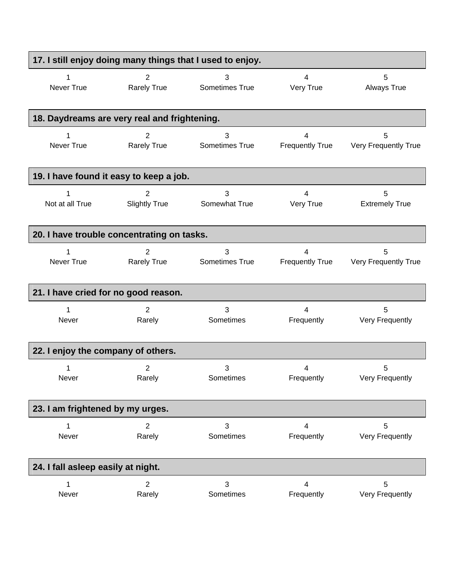| 17. I still enjoy doing many things that I used to enjoy. |                      |                |                        |                       |
|-----------------------------------------------------------|----------------------|----------------|------------------------|-----------------------|
| Never True                                                | $\overline{2}$       | 3              | 4                      | 5                     |
|                                                           | <b>Rarely True</b>   | Sometimes True | Very True              | <b>Always True</b>    |
| 18. Daydreams are very real and frightening.              |                      |                |                        |                       |
| 1                                                         | 2                    | 3              | 4                      | 5                     |
| Never True                                                | <b>Rarely True</b>   | Sometimes True | <b>Frequently True</b> | Very Frequently True  |
| 19. I have found it easy to keep a job.                   |                      |                |                        |                       |
| 1                                                         | 2                    | 3              | 4                      | 5                     |
| Not at all True                                           | <b>Slightly True</b> | Somewhat True  | Very True              | <b>Extremely True</b> |
| 20. I have trouble concentrating on tasks.                |                      |                |                        |                       |
| 1                                                         | 2                    | 3              | 4                      | 5                     |
| Never True                                                | <b>Rarely True</b>   | Sometimes True | <b>Frequently True</b> | Very Frequently True  |
| 21. I have cried for no good reason.                      |                      |                |                        |                       |
| 1                                                         | 2                    | 3              | 4                      | 5                     |
| Never                                                     | Rarely               | Sometimes      | Frequently             | Very Frequently       |
| 22. I enjoy the company of others.                        |                      |                |                        |                       |
| 1                                                         | 2                    | 3              | 4                      | 5                     |
| <b>Never</b>                                              | Rarely               | Sometimes      | Frequently             | Very Frequently       |
| 23. I am frightened by my urges.                          |                      |                |                        |                       |
| 1                                                         | 2                    | 3              | 4                      | 5                     |
| Never                                                     | Rarely               | Sometimes      | Frequently             | Very Frequently       |
| 24. I fall asleep easily at night.                        |                      |                |                        |                       |
| 1                                                         | $\overline{2}$       | 3              | 4                      | 5                     |
| Never                                                     | Rarely               | Sometimes      | Frequently             | Very Frequently       |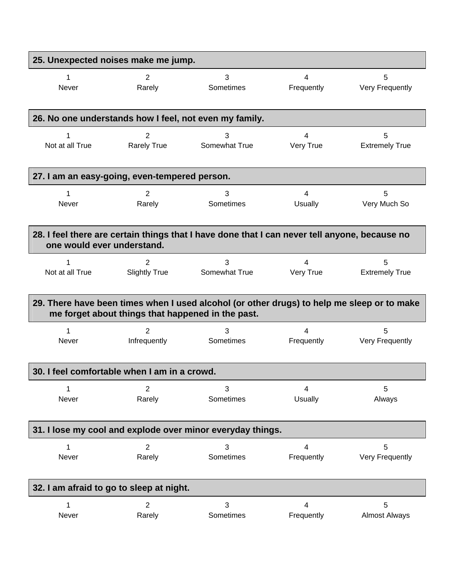| 25. Unexpected noises make me jump.                                                                                         |                                                   |                                                                                            |                |                       |  |  |
|-----------------------------------------------------------------------------------------------------------------------------|---------------------------------------------------|--------------------------------------------------------------------------------------------|----------------|-----------------------|--|--|
| 1                                                                                                                           | 2                                                 | 3                                                                                          | 4              | 5                     |  |  |
| Never                                                                                                                       | Rarely                                            | Sometimes                                                                                  | Frequently     | Very Frequently       |  |  |
|                                                                                                                             |                                                   | 26. No one understands how I feel, not even my family.                                     |                |                       |  |  |
| 1                                                                                                                           | 2                                                 | 3                                                                                          | 4              | 5                     |  |  |
| Not at all True                                                                                                             | <b>Rarely True</b>                                | Somewhat True                                                                              | Very True      | <b>Extremely True</b> |  |  |
| 27. I am an easy-going, even-tempered person.                                                                               |                                                   |                                                                                            |                |                       |  |  |
| 1                                                                                                                           | $\overline{2}$                                    | 3                                                                                          | 4              | 5                     |  |  |
| Never                                                                                                                       | Rarely                                            | Sometimes                                                                                  | Usually        | Very Much So          |  |  |
| 28. I feel there are certain things that I have done that I can never tell anyone, because no<br>one would ever understand. |                                                   |                                                                                            |                |                       |  |  |
| 1                                                                                                                           | 2                                                 | 3                                                                                          | $\overline{4}$ | 5                     |  |  |
| Not at all True                                                                                                             | <b>Slightly True</b>                              | Somewhat True                                                                              | Very True      | <b>Extremely True</b> |  |  |
|                                                                                                                             | me forget about things that happened in the past. | 29. There have been times when I used alcohol (or other drugs) to help me sleep or to make |                |                       |  |  |
| 1                                                                                                                           | 2                                                 | 3                                                                                          | 4              | 5                     |  |  |
| Never                                                                                                                       | Infrequently                                      | Sometimes                                                                                  | Frequently     | Very Frequently       |  |  |
| 30. I feel comfortable when I am in a crowd.                                                                                |                                                   |                                                                                            |                |                       |  |  |
| 1                                                                                                                           | $\overline{2}$                                    | 3                                                                                          | 4              | 5                     |  |  |
| Never                                                                                                                       | Rarely                                            | Sometimes                                                                                  | <b>Usually</b> | Always                |  |  |
| 31. I lose my cool and explode over minor everyday things.                                                                  |                                                   |                                                                                            |                |                       |  |  |
| 1                                                                                                                           | $\overline{2}$                                    | 3                                                                                          | 4              | 5                     |  |  |
| Never                                                                                                                       | Rarely                                            | Sometimes                                                                                  | Frequently     | Very Frequently       |  |  |
| 32. I am afraid to go to sleep at night.                                                                                    |                                                   |                                                                                            |                |                       |  |  |
| 1                                                                                                                           | $\overline{2}$                                    | 3                                                                                          | 4              | 5                     |  |  |
| Never                                                                                                                       | Rarely                                            | Sometimes                                                                                  | Frequently     | <b>Almost Always</b>  |  |  |